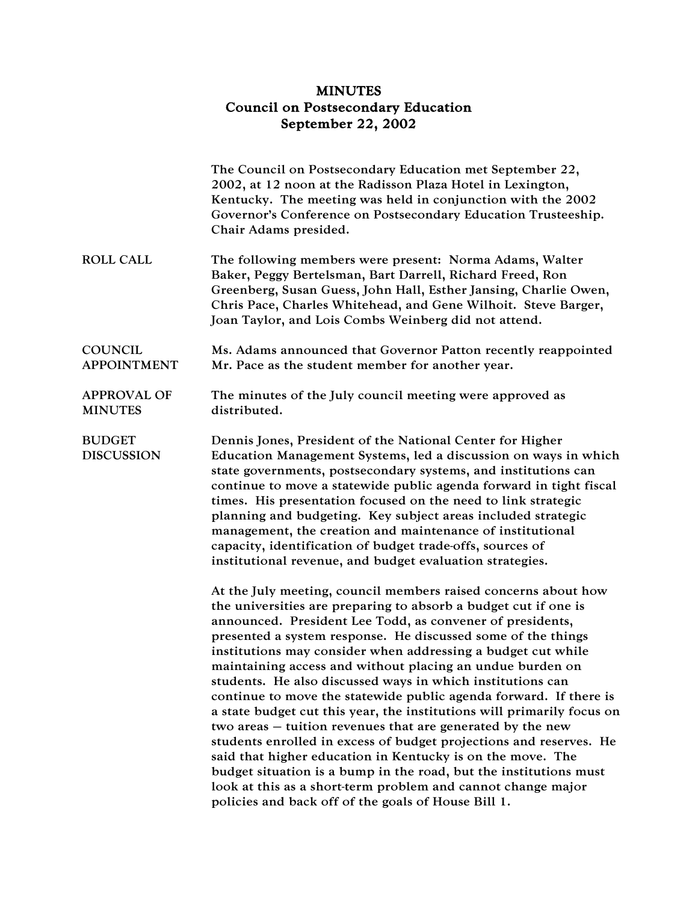## MINUTES Council on Postsecondary Education September 22, 2002

|                                      | The Council on Postsecondary Education met September 22,<br>2002, at 12 noon at the Radisson Plaza Hotel in Lexington,<br>Kentucky. The meeting was held in conjunction with the 2002<br>Governor's Conference on Postsecondary Education Trusteeship.<br>Chair Adams presided.                                                                                                                                                                                                                                                                                                                                                                                                                                                                                                                                                                                                                                                                                                                        |
|--------------------------------------|--------------------------------------------------------------------------------------------------------------------------------------------------------------------------------------------------------------------------------------------------------------------------------------------------------------------------------------------------------------------------------------------------------------------------------------------------------------------------------------------------------------------------------------------------------------------------------------------------------------------------------------------------------------------------------------------------------------------------------------------------------------------------------------------------------------------------------------------------------------------------------------------------------------------------------------------------------------------------------------------------------|
| <b>ROLL CALL</b>                     | The following members were present: Norma Adams, Walter<br>Baker, Peggy Bertelsman, Bart Darrell, Richard Freed, Ron<br>Greenberg, Susan Guess, John Hall, Esther Jansing, Charlie Owen,<br>Chris Pace, Charles Whitehead, and Gene Wilhoit. Steve Barger,<br>Joan Taylor, and Lois Combs Weinberg did not attend.                                                                                                                                                                                                                                                                                                                                                                                                                                                                                                                                                                                                                                                                                     |
| <b>COUNCIL</b><br><b>APPOINTMENT</b> | Ms. Adams announced that Governor Patton recently reappointed<br>Mr. Pace as the student member for another year.                                                                                                                                                                                                                                                                                                                                                                                                                                                                                                                                                                                                                                                                                                                                                                                                                                                                                      |
| <b>APPROVAL OF</b><br><b>MINUTES</b> | The minutes of the July council meeting were approved as<br>distributed.                                                                                                                                                                                                                                                                                                                                                                                                                                                                                                                                                                                                                                                                                                                                                                                                                                                                                                                               |
| <b>BUDGET</b><br><b>DISCUSSION</b>   | Dennis Jones, President of the National Center for Higher<br>Education Management Systems, led a discussion on ways in which<br>state governments, postsecondary systems, and institutions can<br>continue to move a statewide public agenda forward in tight fiscal<br>times. His presentation focused on the need to link strategic<br>planning and budgeting. Key subject areas included strategic<br>management, the creation and maintenance of institutional<br>capacity, identification of budget trade-offs, sources of<br>institutional revenue, and budget evaluation strategies.                                                                                                                                                                                                                                                                                                                                                                                                            |
|                                      | At the July meeting, council members raised concerns about how<br>the universities are preparing to absorb a budget cut if one is<br>announced. President Lee Todd, as convener of presidents,<br>presented a system response. He discussed some of the things<br>institutions may consider when addressing a budget cut while<br>maintaining access and without placing an undue burden on<br>students. He also discussed ways in which institutions can<br>continue to move the statewide public agenda forward. If there is<br>a state budget cut this year, the institutions will primarily focus on<br>two areas – tuition revenues that are generated by the new<br>students enrolled in excess of budget projections and reserves. He<br>said that higher education in Kentucky is on the move. The<br>budget situation is a bump in the road, but the institutions must<br>look at this as a short-term problem and cannot change major<br>policies and back off of the goals of House Bill 1. |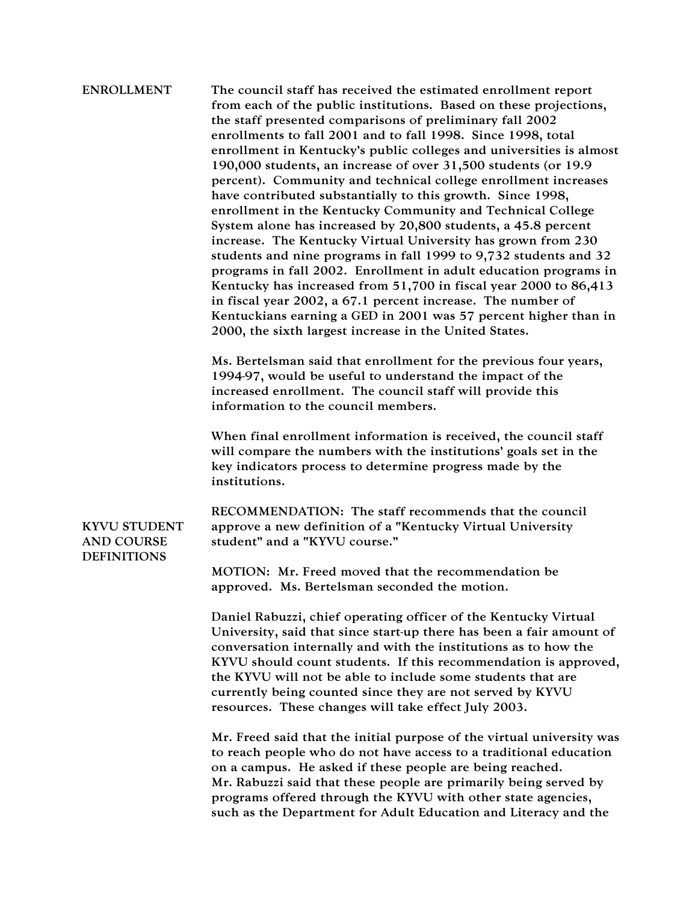## ENROLLMENT The council staff has received the estimated enrollment report from each of the public institutions. Based on these projections, the staff presented comparisons of preliminary fall 2002 enrollments to fall 2001 and to fall 1998. Since 1998, total enrollment in Kentucky's public colleges and universities is almost 190,000 students, an increase of over 31,500 students (or 19.9 percent). Community and technical college enrollment increases have contributed substantially to this growth. Since 1998, enrollment in the Kentucky Community and Technical College System alone has increased by 20,800 students, a 45.8 percent increase. The Kentucky Virtual University has grown from 230 students and nine programs in fall 1999 to 9,732 students and 32 programs in fall 2002. Enrollment in adult education programs in Kentucky has increased from 51,700 in fiscal year 2000 to 86,413 in fiscal year 2002, a 67.1 percent increase. The number of Kentuckians earning a GED in 2001 was 57 percent higher than in 2000, the sixth largest increase in the United States. Ms. Bertelsman said that enrollment for the previous four years, 1994-97, would be useful to understand the impact of the increased enrollment. The council staff will provide this information to the council members.

When final enrollment information is received, the council staff will compare the numbers with the institutions' goals set in the key indicators process to determine progress made by the institutions.

KYVU STUDENT AND COURSE DEFINITIONS

RECOMMENDATION: The staff recommends that the council approve a new definition of a "Kentucky Virtual University student" and a "KYVU course."

MOTION: Mr. Freed moved that the recommendation be approved. Ms. Bertelsman seconded the motion.

Daniel Rabuzzi, chief operating officer of the Kentucky Virtual University, said that since start-up there has been a fair amount of conversation internally and with the institutions as to how the KYVU should count students. If this recommendation is approved, the KYVU will not be able to include some students that are currently being counted since they are not served by KYVU resources. These changes will take effect July 2003.

Mr. Freed said that the initial purpose of the virtual university was to reach people who do not have access to a traditional education on a campus. He asked if these people are being reached. Mr. Rabuzzi said that these people are primarily being served by programs offered through the KYVU with other state agencies, such as the Department for Adult Education and Literacy and the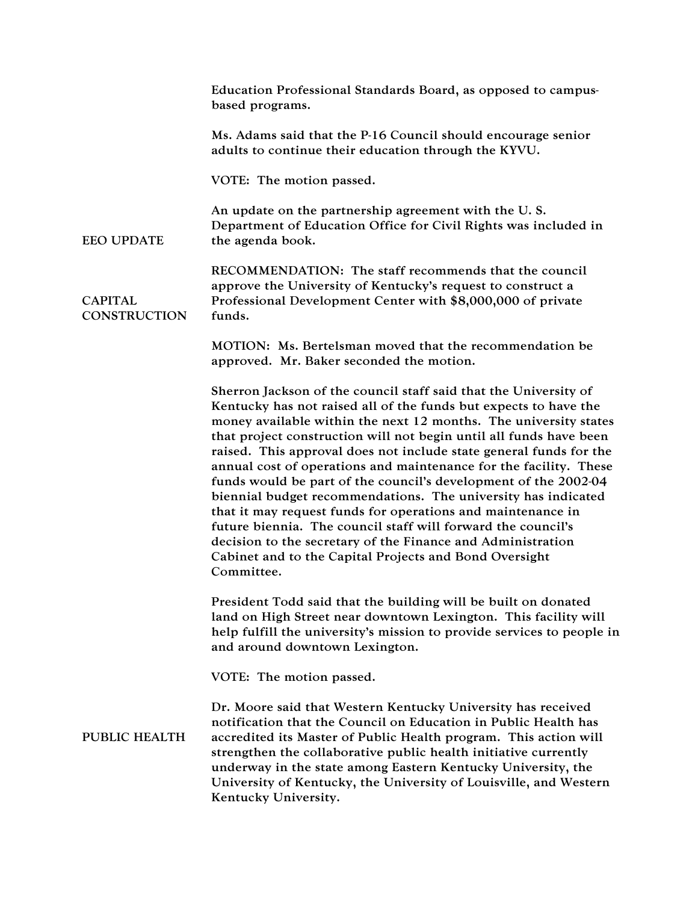|                                | Education Professional Standards Board, as opposed to campus-<br>based programs.                                                                                                                                                                                                                                                                                                                                                                                                                                                                                                                                                                                                                                                                                                                                                    |
|--------------------------------|-------------------------------------------------------------------------------------------------------------------------------------------------------------------------------------------------------------------------------------------------------------------------------------------------------------------------------------------------------------------------------------------------------------------------------------------------------------------------------------------------------------------------------------------------------------------------------------------------------------------------------------------------------------------------------------------------------------------------------------------------------------------------------------------------------------------------------------|
|                                | Ms. Adams said that the P-16 Council should encourage senior<br>adults to continue their education through the KYVU.                                                                                                                                                                                                                                                                                                                                                                                                                                                                                                                                                                                                                                                                                                                |
|                                | VOTE: The motion passed.                                                                                                                                                                                                                                                                                                                                                                                                                                                                                                                                                                                                                                                                                                                                                                                                            |
| <b>EEO UPDATE</b>              | An update on the partnership agreement with the U.S.<br>Department of Education Office for Civil Rights was included in<br>the agenda book.                                                                                                                                                                                                                                                                                                                                                                                                                                                                                                                                                                                                                                                                                         |
| <b>CAPITAL</b><br>CONSTRUCTION | RECOMMENDATION: The staff recommends that the council<br>approve the University of Kentucky's request to construct a<br>Professional Development Center with \$8,000,000 of private<br>funds.                                                                                                                                                                                                                                                                                                                                                                                                                                                                                                                                                                                                                                       |
|                                | MOTION: Ms. Bertelsman moved that the recommendation be<br>approved. Mr. Baker seconded the motion.                                                                                                                                                                                                                                                                                                                                                                                                                                                                                                                                                                                                                                                                                                                                 |
|                                | Sherron Jackson of the council staff said that the University of<br>Kentucky has not raised all of the funds but expects to have the<br>money available within the next 12 months. The university states<br>that project construction will not begin until all funds have been<br>raised. This approval does not include state general funds for the<br>annual cost of operations and maintenance for the facility. These<br>funds would be part of the council's development of the 2002-04<br>biennial budget recommendations. The university has indicated<br>that it may request funds for operations and maintenance in<br>future biennia. The council staff will forward the council's<br>decision to the secretary of the Finance and Administration<br>Cabinet and to the Capital Projects and Bond Oversight<br>Committee. |
|                                | President Todd said that the building will be built on donated<br>land on High Street near downtown Lexington. This facility will<br>help fulfill the university's mission to provide services to people in<br>and around downtown Lexington.                                                                                                                                                                                                                                                                                                                                                                                                                                                                                                                                                                                       |
|                                | VOTE: The motion passed.                                                                                                                                                                                                                                                                                                                                                                                                                                                                                                                                                                                                                                                                                                                                                                                                            |
| <b>PUBLIC HEALTH</b>           | Dr. Moore said that Western Kentucky University has received<br>notification that the Council on Education in Public Health has<br>accredited its Master of Public Health program. This action will<br>strengthen the collaborative public health initiative currently<br>underway in the state among Eastern Kentucky University, the<br>University of Kentucky, the University of Louisville, and Western<br>Kentucky University.                                                                                                                                                                                                                                                                                                                                                                                                 |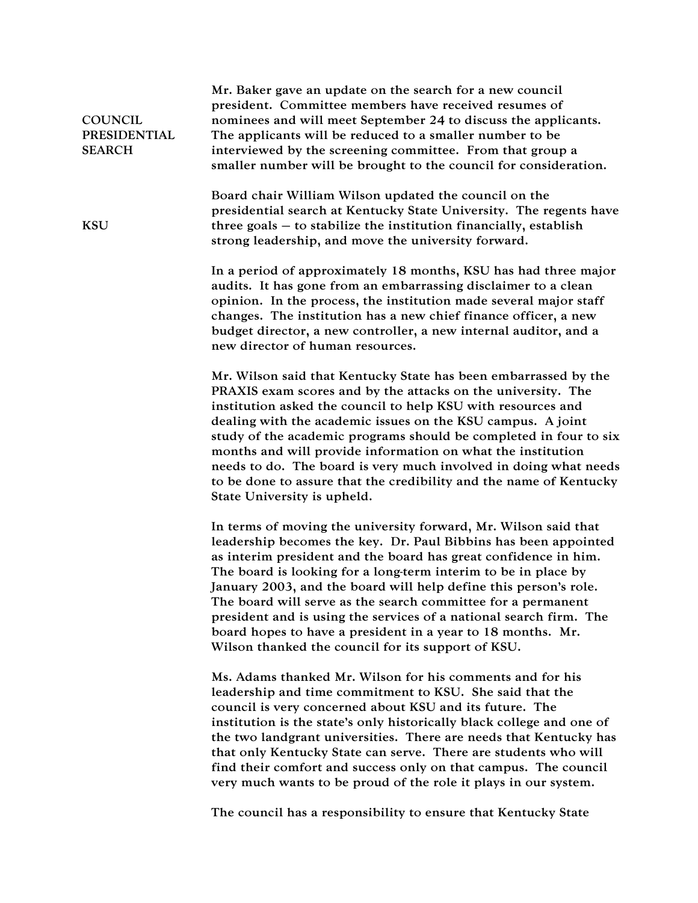| <b>COUNCIL</b><br>PRESIDENTIAL<br><b>SEARCH</b> | Mr. Baker gave an update on the search for a new council<br>president. Committee members have received resumes of<br>nominees and will meet September 24 to discuss the applicants.<br>The applicants will be reduced to a smaller number to be<br>interviewed by the screening committee. From that group a<br>smaller number will be brought to the council for consideration.                                                                                                                                                                                                                       |
|-------------------------------------------------|--------------------------------------------------------------------------------------------------------------------------------------------------------------------------------------------------------------------------------------------------------------------------------------------------------------------------------------------------------------------------------------------------------------------------------------------------------------------------------------------------------------------------------------------------------------------------------------------------------|
| <b>KSU</b>                                      | Board chair William Wilson updated the council on the<br>presidential search at Kentucky State University. The regents have<br>three goals $-$ to stabilize the institution financially, establish<br>strong leadership, and move the university forward.                                                                                                                                                                                                                                                                                                                                              |
|                                                 | In a period of approximately 18 months, KSU has had three major<br>audits. It has gone from an embarrassing disclaimer to a clean<br>opinion. In the process, the institution made several major staff<br>changes. The institution has a new chief finance officer, a new<br>budget director, a new controller, a new internal auditor, and a<br>new director of human resources.                                                                                                                                                                                                                      |
|                                                 | Mr. Wilson said that Kentucky State has been embarrassed by the<br>PRAXIS exam scores and by the attacks on the university. The<br>institution asked the council to help KSU with resources and<br>dealing with the academic issues on the KSU campus. A joint<br>study of the academic programs should be completed in four to six<br>months and will provide information on what the institution<br>needs to do. The board is very much involved in doing what needs<br>to be done to assure that the credibility and the name of Kentucky<br>State University is upheld.                            |
|                                                 | In terms of moving the university forward, Mr. Wilson said that<br>leadership becomes the key. Dr. Paul Bibbins has been appointed<br>as interim president and the board has great confidence in him.<br>The board is looking for a long-term interim to be in place by<br>January 2003, and the board will help define this person's role.<br>The board will serve as the search committee for a permanent<br>president and is using the services of a national search firm. The<br>board hopes to have a president in a year to 18 months. Mr.<br>Wilson thanked the council for its support of KSU. |
|                                                 | Ms. Adams thanked Mr. Wilson for his comments and for his<br>leadership and time commitment to KSU. She said that the<br>council is very concerned about KSU and its future. The<br>institution is the state's only historically black college and one of<br>the two landgrant universities. There are needs that Kentucky has<br>that only Kentucky State can serve. There are students who will<br>find their comfort and success only on that campus. The council<br>very much wants to be proud of the role it plays in our system.                                                                |
|                                                 | The council has a responsibility to ensure that Kentucky State                                                                                                                                                                                                                                                                                                                                                                                                                                                                                                                                         |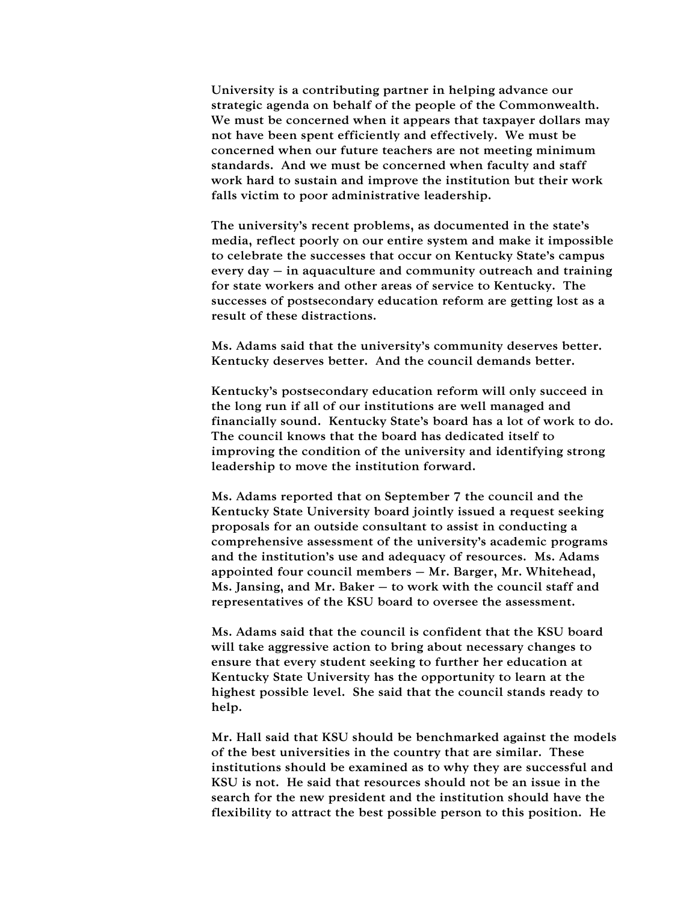University is a contributing partner in helping advance our strategic agenda on behalf of the people of the Commonwealth. We must be concerned when it appears that taxpayer dollars may not have been spent efficiently and effectively. We must be concerned when our future teachers are not meeting minimum standards. And we must be concerned when faculty and staff work hard to sustain and improve the institution but their work falls victim to poor administrative leadership.

The university's recent problems, as documented in the state's media, reflect poorly on our entire system and make it impossible to celebrate the successes that occur on Kentucky State's campus every day – in aquaculture and community outreach and training for state workers and other areas of service to Kentucky. The successes of postsecondary education reform are getting lost as a result of these distractions.

Ms. Adams said that the university's community deserves better. Kentucky deserves better. And the council demands better.

Kentucky's postsecondary education reform will only succeed in the long run if all of our institutions are well managed and financially sound. Kentucky State's board has a lot of work to do. The council knows that the board has dedicated itself to improving the condition of the university and identifying strong leadership to move the institution forward.

Ms. Adams reported that on September 7 the council and the Kentucky State University board jointly issued a request seeking proposals for an outside consultant to assist in conducting a comprehensive assessment of the university's academic programs and the institution's use and adequacy of resources. Ms. Adams appointed four council members – Mr. Barger, Mr. Whitehead, Ms. Jansing, and Mr. Baker – to work with the council staff and representatives of the KSU board to oversee the assessment.

Ms. Adams said that the council is confident that the KSU board will take aggressive action to bring about necessary changes to ensure that every student seeking to further her education at Kentucky State University has the opportunity to learn at the highest possible level. She said that the council stands ready to help.

Mr. Hall said that KSU should be benchmarked against the models of the best universities in the country that are similar. These institutions should be examined as to why they are successful and KSU is not. He said that resources should not be an issue in the search for the new president and the institution should have the flexibility to attract the best possible person to this position. He